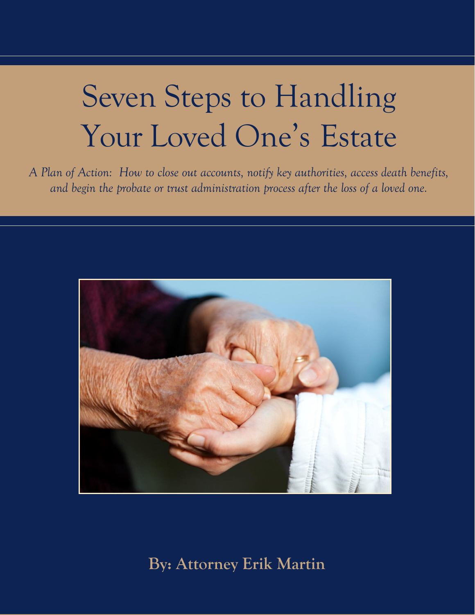# Seven Steps to Handling Your Loved One's Estate

*A Plan of Action: How to close out accounts, notify key authorities, access death benefits, and begin the probate or trust administration process after the loss of a loved one.* 



**By: Attorney Erik Martin**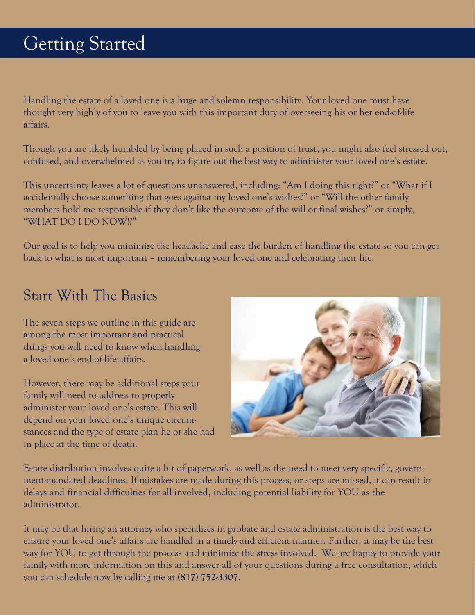Handling the estate of a loved one is a huge and solemn responsibility. Your loved one must have thought very highly of you to leave you with this important duty of overseeing his or her end-of-life affairs.

Though you are likely humbled by being placed in such a position of trust, you might also feel stressed out, confused, and overwhelmed as you try to figure out the best way to administer your loved one's estate.

This uncertainty leaves a lot of questions unanswered, including: "Am I doing this right?" or "What if I accidentally choose something that goes against my loved one's wishes?" or "Will the other family members hold me responsible if they don't like the outcome of the will or final wishes?" or simply, "WHAT DO I DO NOW!?"

Our goal is to help you minimize the headache and ease the burden of handling the estate so you can get back to what is most important – remembering your loved one and celebrating their life.

### Start With The Basics

The seven steps we outline in this guide are among the most important and practical things you will need to know when handling a loved one's end-of-life affairs.

However, there may be additional steps your family will need to address to properly administer your loved one's estate. This will depend on your loved one's unique circumstances and the type of estate plan he or she had in place at the time of death.



Estate distribution involves quite a bit of paperwork, as well as the need to meet very specific, government-mandated deadlines. If mistakes are made during this process, or steps are missed, it can result in delays and financial difficulties for all involved, including potential liability for YOU as the administrator.

It may be that hiring an attorney who specializes in probate and estate administration is the best way to ensure your loved one's affairs are handled in a timely and efficient manner. Further, it may be the best way for YOU to get through the process and minimize the stress involved. We are happy to provide your family with more information on this and answer all of your questions during a free consultation, which you can schedule now by calling me at **(817) 752-3307**.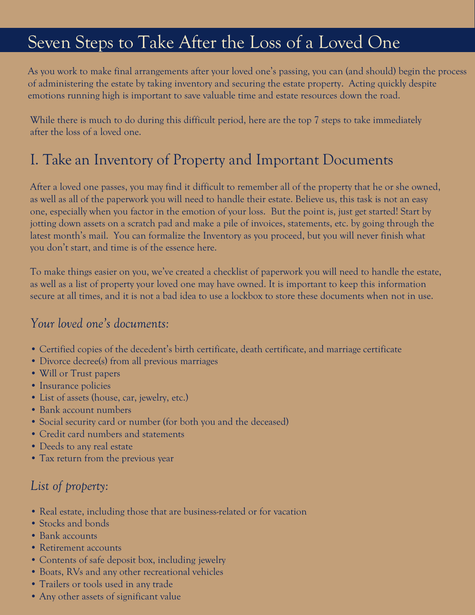### Seven Steps to Take After the Loss of a Loved One

As you work to make final arrangements after your loved one's passing, you can (and should) begin the process of administering the estate by taking inventory and securing the estate property. Acting quickly despite emotions running high is important to save valuable time and estate resources down the road.

While there is much to do during this difficult period, here are the top 7 steps to take immediately after the loss of a loved one.

### I. Take an Inventory of Property and Important Documents

After a loved one passes, you may find it difficult to remember all of the property that he or she owned, as well as all of the paperwork you will need to handle their estate. Believe us, this task is not an easy one, especially when you factor in the emotion of your loss. But the point is, just get started! Start by jotting down assets on a scratch pad and make a pile of invoices, statements, etc. by going through the latest month's mail. You can formalize the Inventory as you proceed, but you will never finish what you don't start, and time is of the essence here.

To make things easier on you, we've created a checklist of paperwork you will need to handle the estate, as well as a list of property your loved one may have owned. It is important to keep this information secure at all times, and it is not a bad idea to use a lockbox to store these documents when not in use.

#### *Your loved one's documents:*

- Certified copies of the decedent's birth certificate, death certificate, and marriage certificate
- Divorce decree(s) from all previous marriages
- Will or Trust papers
- Insurance policies
- List of assets (house, car, jewelry, etc.)
- Bank account numbers
- Social security card or number (for both you and the deceased)
- Credit card numbers and statements
- Deeds to any real estate
- Tax return from the previous year

#### *List of property:*

- Real estate, including those that are business-related or for vacation
- Stocks and bonds
- Bank accounts
- Retirement accounts
- Contents of safe deposit box, including jewelry
- Boats, RVs and any other recreational vehicles
- Trailers or tools used in any trade
- Any other assets of significant value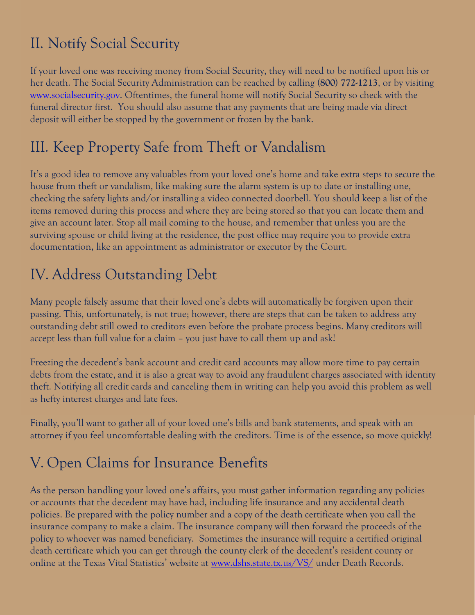### II. Notify Social Security

If your loved one was receiving money from Social Security, they will need to be notified upon his or her death. The Social Security Administration can be reached by calling **(800) 772-1213**, or by visitin[g](https://www.ssa.gov/) [www.socialsecurity.gov.](https://www.ssa.gov/) Oftentimes, the funeral home will notify Social Security so check with the funeral director first. You should also assume that any payments that are being made via direct deposit will either be stopped by the government or frozen by the bank.

### III. Keep Property Safe from Theft or Vandalism

It's a good idea to remove any valuables from your loved one's home and take extra steps to secure the house from theft or vandalism, like making sure the alarm system is up to date or installing one, checking the safety lights and/or installing a video connected doorbell. You should keep a list of the items removed during this process and where they are being stored so that you can locate them and give an account later. Stop all mail coming to the house, and remember that unless you are the surviving spouse or child living at the residence, the post office may require you to provide extra documentation, like an appointment as administrator or executor by the Court.

### IV. Address Outstanding Debt

Many people falsely assume that their loved one's debts will automatically be forgiven upon their passing. This, unfortunately, is not true; however, there are steps that can be taken to address any outstanding debt still owed to creditors even before the probate process begins. Many creditors will accept less than full value for a claim – you just have to call them up and ask!

Freezing the decedent's bank account and credit card accounts may allow more time to pay certain debts from the estate, and it is also a great way to avoid any fraudulent charges associated with identity theft. Notifying all credit cards and canceling them in writing can help you avoid this problem as well as hefty interest charges and late fees.

Finally, you'll want to gather all of your loved one's bills and bank statements, and speak with an attorney if you feel uncomfortable dealing with the creditors. Time is of the essence, so move quickly!

### V. Open Claims for Insurance Benefits

As the person handling your loved one's affairs, you must gather information regarding any policies or accounts that the decedent may have had, including life insurance and any accidental death policies. Be prepared with the policy number and a copy of the death certificate when you call the insurance company to make a claim. The insurance company will then forward the proceeds of the policy to whoever was named beneficiary. Sometimes the insurance will require a certified original death certificate which you can get through the county clerk of the decedent's resident county or online at the Texas Vital Statistics' website at [www.dshs.state.tx.us/VS/](http://www.dshs.state.tx.us/VS/) under Death Records.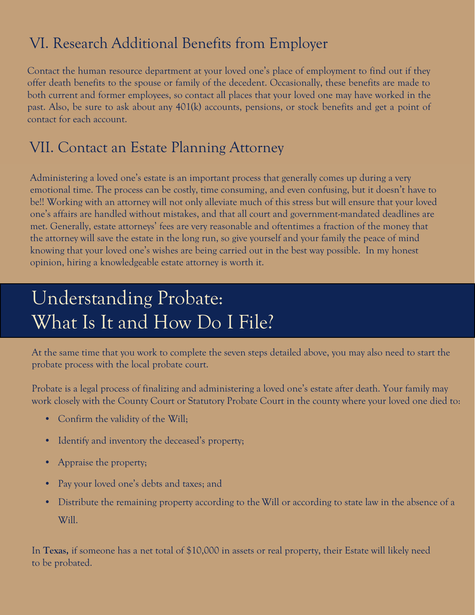### VI. Research Additional Benefits from Employer

Contact the human resource department at your loved one's place of employment to find out if they offer death benefits to the spouse or family of the decedent. Occasionally, these benefits are made to both current and former employees, so contact all places that your loved one may have worked in the past. Also, be sure to ask about any 401(k) accounts, pensions, or stock benefits and get a point of contact for each account.

### VII. Contact an Estate Planning Attorney

Administering a loved one's estate is an important process that generally comes up during a very emotional time. The process can be costly, time consuming, and even confusing, but it doesn't have to be!! Working with an attorney will not only alleviate much of this stress but will ensure that your loved one's affairs are handled without mistakes, and that all court and government-mandated deadlines are met. Generally, estate attorneys' fees are very reasonable and oftentimes a fraction of the money that the attorney will save the estate in the long run, so give yourself and your family the peace of mind knowing that your loved one's wishes are being carried out in the best way possible. In my honest opinion, hiring a knowledgeable estate attorney is worth it.

## Understanding Probate: What Is It and How Do I File?

At the same time that you work to complete the seven steps detailed above, you may also need to start the probate process with the local probate court.

Probate is a legal process of finalizing and administering a loved one's estate after death. Your family may work closely with the County Court or Statutory Probate Court in the county where your loved one died to:

- Confirm the validity of the Will;
- Identify and inventory the deceased's property;
- Appraise the property;
- Pay your loved one's debts and taxes; and
- Distribute the remaining property according to the Will or according to state law in the absence of a Will.

In **Texas,** if someone has a net total of \$10,000 in assets or real property, their Estate will likely need to be probated.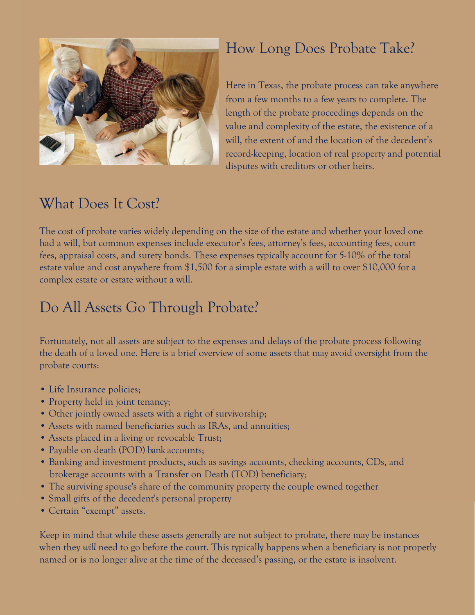

### How Long Does Probate Take?

Here in Texas, the probate process can take anywhere from a few months to a few years to complete. The length of the probate proceedings depends on the value and complexity of the estate, the existence of a will, the extent of and the location of the decedent's record-keeping, location of real property and potential disputes with creditors or other heirs.

### What Does It Cost?

The cost of probate varies widely depending on the size of the estate and whether your loved one had a will, but common expenses include executor's fees, attorney's fees, accounting fees, court fees, appraisal costs, and surety bonds. These expenses typically account for 5-10% of the total estate value and cost anywhere from \$1,500 for a simple estate with a will to over \$10,000 for a complex estate or estate without a will.

### Do All Assets Go Through Probate?

Fortunately, not all assets are subject to the expenses and delays of the probate process following the death of a loved one. Here is a brief overview of some assets that may avoid oversight from the probate courts:

- Life Insurance policies;
- Property held in joint tenancy;
- Other jointly owned assets with a right of survivorship;
- Assets with named beneficiaries such as IRAs, and annuities;
- Assets placed in a living or revocable Trust;
- Payable on death (POD) bank accounts;
- Banking and investment products, such as savings accounts, checking accounts, CDs, and brokerage accounts with a Transfer on Death (TOD) beneficiary;
- The surviving spouse's share of the community property the couple owned together
- Small gifts of the decedent's personal property
- Certain "exempt" assets.

Keep in mind that while these assets generally are not subject to probate, there may be instances when they *will* need to go before the court. This typically happens when a beneficiary is not properly named or is no longer alive at the time of the deceased's passing, or the estate is insolvent.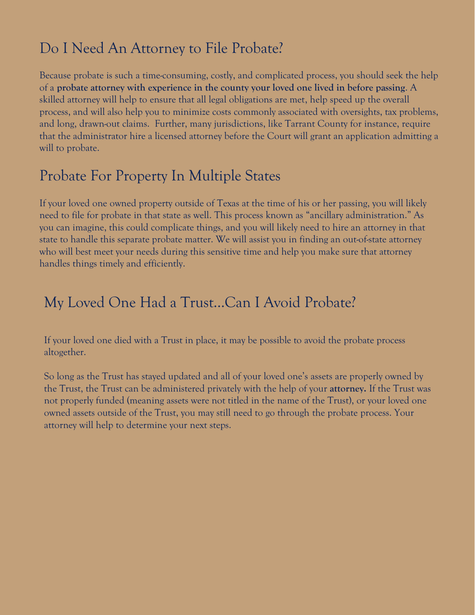### Do I Need An Attorney to File Probate?

Because probate is such a time-consuming, costly, and complicated process, you should seek the help of a **probate attorney with experience in the county your loved one lived in before passing**. A skilled attorney will help to ensure that all legal obligations are met, help speed up the overall process, and will also help you to minimize costs commonly associated with oversights, tax problems, and long, drawn-out claims. Further, many jurisdictions, like Tarrant County for instance, require that the administrator hire a licensed attorney before the Court will grant an application admitting a will to probate.

### Probate For Property In Multiple States

If your loved one owned property outside of Texas at the time of his or her passing, you will likely need to file for probate in that state as well. This process known as "ancillary administration." As you can imagine, this could complicate things, and you will likely need to hire an attorney in that state to handle this separate probate matter. We will assist you in finding an out-of-state attorney who will best meet your needs during this sensitive time and help you make sure that attorney handles things timely and efficiently.

### My Loved One Had a Trust…Can I Avoid Probate?

If your loved one died with a Trust in place, it may be possible to avoid the probate process altogether.

So long as the Trust has stayed updated and all of your loved one's assets are properly owned by the Trust, the Trust can be administered privately with the help of your **attorney.** If the Trust was not properly funded (meaning assets were not titled in the name of the Trust), or your loved one owned assets outside of the Trust, you may still need to go through the probate process. Your attorney will help to determine your next steps.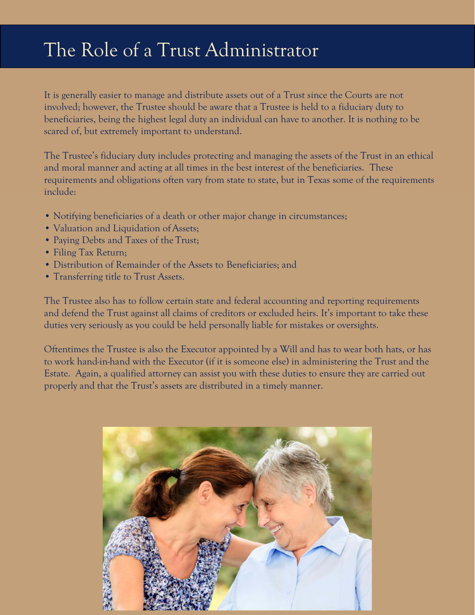# [The Role of a Trust Administrator](http://morganlawgroup.com/blog/2011/06/24/the-role-of-a-trust-administrator-in-orange-county/)

It is generally easier to manage and distribute assets out of a Trust since the Courts are not involved; however, the Trustee should be aware that a Trustee is held to a fiduciary duty to beneficiaries, being the highest legal duty an individual can have to another. It is nothing to be scared of, but extremely important to understand.

The Trustee's fiduciary duty includes protecting and managing the assets of the Trust in an ethical and moral manner and acting at all times in the best interest of the beneficiaries. These requirements and obligations often vary from state to state, but in Texas some of the requirements include:

- Notifying beneficiaries of a death or other major change in circumstances;
- Valuation and Liquidation of Assets;
- Paying Debts and Taxes of the Trust;
- Filing Tax Return;
- Distribution of Remainder of the Assets to Beneficiaries; and
- Transferring title to Trust Assets.

The Trustee also has to follow certain state and federal accounting and reporting requirements and defend the Trust against all claims of creditors or excluded heirs. It's important to take these duties very seriously as you could be held personally liable for mistakes or oversights.

Oftentimes the Trustee is also the Executor appointed by a Will and has to wear both hats, or has to work hand-in-hand with the Executor (if it is someone else) in administering the Trust and the Estate. Again, a qualified attorney can assist you with these duties to ensure they are carried out properly and that the Trust's assets are distributed in a timely manner.